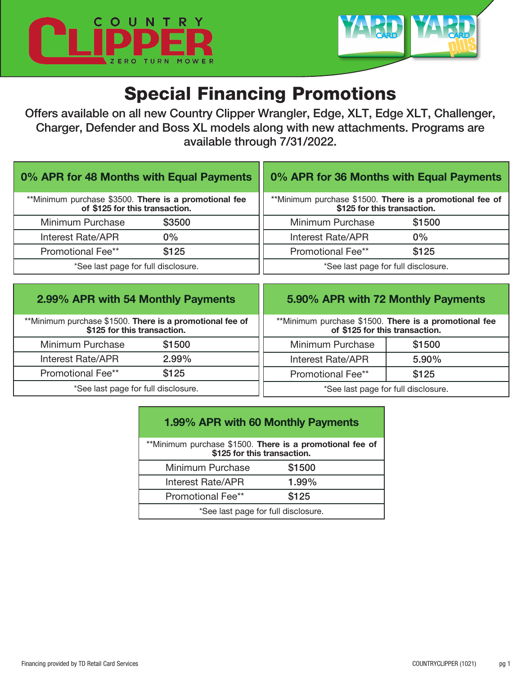



# Special Financing Promotions

Offers available on all new Country Clipper Wrangler, Edge, XLT, Edge XLT, Challenger, Charger, Defender and Boss XL models along with new attachments. Programs are available through 7/31/2022.

| 0% APR for 48 Months with Equal Payments              | 0% APR for 36 Months with Equal Payments                 |
|-------------------------------------------------------|----------------------------------------------------------|
| **Minimum purchase \$3500. There is a promotional fee | **Minimum purchase \$1500. There is a promotional fee of |
| of \$125 for this transaction.                        | \$125 for this transaction.                              |
| \$3500                                                | Minimum Purchase                                         |
| Minimum Purchase                                      | \$1500                                                   |
| Interest Rate/APR                                     | Interest Rate/APR                                        |
| $0\%$                                                 | 0%                                                       |
| \$125                                                 | \$125                                                    |
| <b>Promotional Fee**</b>                              | <b>Promotional Fee**</b>                                 |
| *See last page for full disclosure.                   | *See last page for full disclosure.                      |

| 2.99% APR with 54 Monthly Payments                                                      |        |                                                                                         | 5.90% APR with 72 Monthly Payments |
|-----------------------------------------------------------------------------------------|--------|-----------------------------------------------------------------------------------------|------------------------------------|
| **Minimum purchase \$1500. There is a promotional fee of<br>\$125 for this transaction. |        | **Minimum purchase \$1500. There is a promotional fee<br>of \$125 for this transaction. |                                    |
| Minimum Purchase                                                                        | \$1500 | Minimum Purchase                                                                        | \$1500                             |
| Interest Rate/APR                                                                       | 2.99%  | Interest Rate/APR                                                                       | 5.90%                              |
| Promotional Fee**                                                                       | \$125  | Promotional Fee**                                                                       | \$125                              |
| *See last page for full disclosure.                                                     |        | *See last page for full disclosure.                                                     |                                    |

| 1.99% APR with 60 Monthly Payments                                                      |        |  |  |
|-----------------------------------------------------------------------------------------|--------|--|--|
| **Minimum purchase \$1500. There is a promotional fee of<br>\$125 for this transaction. |        |  |  |
| Minimum Purchase                                                                        | \$1500 |  |  |
| <b>Interest Rate/APR</b>                                                                | 1.99%  |  |  |
| <b>Promotional Fee**</b>                                                                | \$125  |  |  |
| *See last page for full disclosure.                                                     |        |  |  |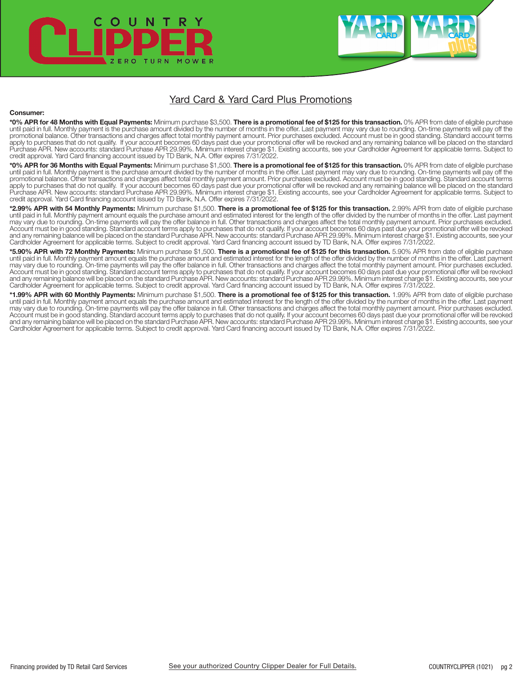

### Yard Card & Yard Card Plus Promotions

### Consumer:

**\*0% APR for 48 Months with Equal Payments:** Minimum purchase \$3,500. **There is a promotional fee of \$125 for this transaction.** 0% APR from date of eligible purchase<br>until paid in full. Monthly payment is the purchase amo promotional balance. Other transactions and charges affect total monthly payment amount. Prior purchases excluded. Account must be in good standing. Standard account terms apply to purchases that do not qualify. If your account becomes 60 days past due your promotional offer will be revoked and any remaining balance will be placed on the standard Purchase APR. New accounts: standard Purchase APR 29.99%. Minimum interest charge \$1. Existing accounts, see your Cardholder Agreement for applicable terms. Subject to credit approval. Yard Card financing account issued by TD Bank, N.A. Offer expires 7/31/2022.

\*0% APR for 36 Months with Equal Payments: Minimum purchase \$1,500. There is a promotional fee of \$125 for this transaction. 0% APR from date of eligible purchase until paid in full. Monthly payment is the purchase amount divided by the number of months in the offer. Last payment may vary due to rounding. On-time payments will pay off the promotional balance. Other transactions and charges affect total monthly payment amount. Prior purchases excluded. Account must be in good standing. Standard account terms apply to purchases that do not qualify. If your account becomes 60 days past due your promotional offer will be revoked and any remaining balance will be placed on the standard<br>Purchase APR. New accounts: standard Purchase credit approval. Yard Card financing account issued by TD Bank, N.A. Offer expires 7/31/2022.

\*2.99% APR with 54 Monthly Payments: Minimum purchase \$1,500. There is a promotional fee of \$125 for this transaction. 2.99% APR from date of eligible purchase until paid in full. Monthly payment amount equals the purchase amount and estimated interest for the length of the offer divided by the number of months in the offer. Last payment may vary due to rounding. On-time payments will pay the offer balance in full. Other transactions and charges affect the total monthly payment amount. Prior purchases excluded.<br>Account must be in good standing. Standard ac Cardholder Agreement for applicable terms. Subject to credit approval. Yard Card financing account issued by TD Bank, N.A. Offer expires 7/31/2022.

\*5.90% APR with 72 Monthly Payments: Minimum purchase \$1,500. There is a promotional fee of \$125 for this transaction. 5.90% APR from date of eligible purchase until paid in full. Monthly payment amount equals the purchase amount and estimated interest for the length of the offer divided by the number of months in the offer. Last payment may vary due to rounding. On-time payments will pay the offer balance in full. Other transactions and charges affect the total monthly payment amount. Prior purchases excluded. Account must be in good standing. Standard account terms apply to purchases that do not qualify. If your account becomes 60 days past due your promotional offer will be revoked<br>and any remaining balance will be placed on t Cardholder Agreement for applicable terms. Subject to credit approval. Yard Card financing account issued by TD Bank, N.A. Offer expires 7/31/2022.

\*1.99% APR with 60 Monthly Payments: Minimum purchase \$1,500. There is a promotional fee of \$125 for this transaction. 1.99% APR from date of eligible purchase<br>until paid in full. Monthly payment amount equals the purchase Cardholder Agreement for applicable terms. Subject to credit approval. Yard Card financing account issued by TD Bank, N.A. Offer expires 7/31/2022.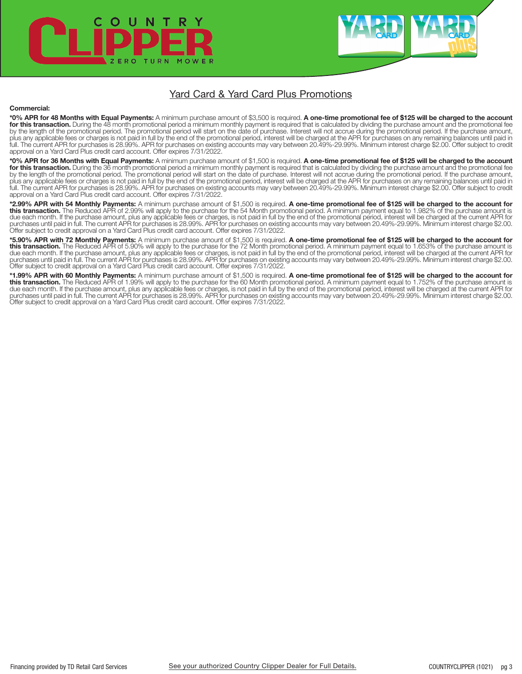

## Yard Card & Yard Card Plus Promotions

#### Commercial:

\***0% APR for 48 Months with Equal Payments:** A minimum purchase amount of \$3,500 is required. **A one-time promotional fee of \$125 will be charged to the account**<br>**for this transaction.** During the 48 month promotional peri plus any applicable fees or charges is not paid in full by the end of the promotional period, interest will be charged at the APR for purchases on any remaining balances until paid in full. The current APR for purchases is 28.99%. APR for purchases on existing accounts may vary between 20.49%-29.99%. Minimum interest charge \$2.00. Offer subject to credit<br>approval on a Yard Card Plus credit card account.

\*0% APR for 36 Months with Equal Payments: A minimum purchase amount of \$1,500 is required. A one-time promotional fee of \$125 will be charged to the account for this transaction. During the 36 month promotional period a minimum monthly payment is required that is calculated by dividing the purchase amount and the promotional fee by the length of the promotional period. The promotional period will start on the date of purchase. Interest will not accrue during the promotional period. If the purchase amount, plus any applicable fees or charges is not paid in full by the end of the promotional period, interest will be charged at the APR for purchases on any remaining balances until paid in<br>full. The current APR for purchases is approval on a Yard Card Plus credit card account. Offer expires 7/31/2022.

\*2.99% APR with 54 Monthly Payments: A minimum purchase amount of \$1,500 is required. A one-time promotional fee of \$125 will be charged to the account for this transaction. The Reduced APR of 2.99% will apply to the purchase for the 54 Month promotional period. A minimum payment equal to 1.982% of the purchase amount is due each month. If the purchase amount, plus any applicable fees or charges, is not paid in full by the end of the promotional period, interest will be charged at the current APR for<br>purchases until paid in full. The curre Offer subject to credit approval on a Yard Card Plus credit card account. Offer expires 7/31/2022.

\*5.90% APR with 72 Monthly Payments: A minimum purchase amount of \$1,500 is required. A one-time promotional fee of \$125 will be charged to the account for this transaction. The Reduced APR of 5.90% will apply to the purchase for the 72 Month promotional period. A minimum payment equal to 1.653% of the purchase amount is due each month. If the purchase amount, plus any applicable fees or charges, is not paid in full by the end of the promotional period, interest will be charged at the current APR for purchases until paid in full. The current APR for purchases is 28.99%. APR for purchases on existing accounts may vary between 20.49%-29.99%. Minimum interest charge \$2.00.<br>Offer subject to credit approval on a Yard Card P

\*1.99% APR with 60 Monthly Payments: A minimum purchase amount of \$1,500 is required. A one-time promotional fee of \$125 will be charged to the account for<br>this transaction. The Reduced APR of 1.99% will apply to the purch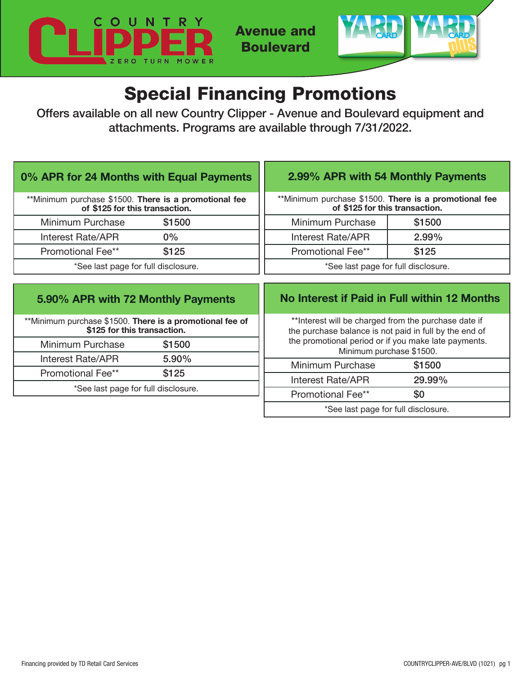

Avenue and Boulevard



# Special Financing Promotions

Offers available on all new Country Clipper - Avenue and Boulevard equipment and attachments. Programs are available through 7/31/2022.

| 0% APR for 24 Months with Equal Payments                                                | 2.99% APR with 54 Monthly Payments                                                                                                                                                                  |  |
|-----------------------------------------------------------------------------------------|-----------------------------------------------------------------------------------------------------------------------------------------------------------------------------------------------------|--|
| **Minimum purchase \$1500. There is a promotional fee                                   | **Minimum purchase \$1500. There is a promotional fee                                                                                                                                               |  |
| of \$125 for this transaction.                                                          | of \$125 for this transaction.                                                                                                                                                                      |  |
| Minimum Purchase                                                                        | \$1500                                                                                                                                                                                              |  |
| \$1500                                                                                  | Minimum Purchase                                                                                                                                                                                    |  |
| <b>Interest Rate/APR</b>                                                                | 2.99%                                                                                                                                                                                               |  |
| $0\%$                                                                                   | Interest Rate/APR                                                                                                                                                                                   |  |
| <b>Promotional Fee**</b>                                                                | <b>Promotional Fee**</b>                                                                                                                                                                            |  |
| \$125                                                                                   | \$125                                                                                                                                                                                               |  |
| *See last page for full disclosure.                                                     | *See last page for full disclosure.                                                                                                                                                                 |  |
| 5.90% APR with 72 Monthly Payments                                                      | No Interest if Paid in Full within 12 Months                                                                                                                                                        |  |
| **Minimum purchase \$1500. There is a promotional fee of<br>\$125 for this transaction. | ** Interest will be charged from the purchase date if<br>the purchase balance is not paid in full by the end of<br>the promotional period or if you make late payments.<br>Minimum purchase \$1500. |  |
| \$1500<br>Minimum Purchase                                                              |                                                                                                                                                                                                     |  |
| 5.90%                                                                                   | \$1500                                                                                                                                                                                              |  |
| Interest Rate/APR                                                                       | Minimum Purchase                                                                                                                                                                                    |  |

Promotional Fee\*\* \$125 \*See last page for full disclosure.

Interest Rate/APR 29.99%

\*See last page for full disclosure.

Promotional Fee\*\* \$0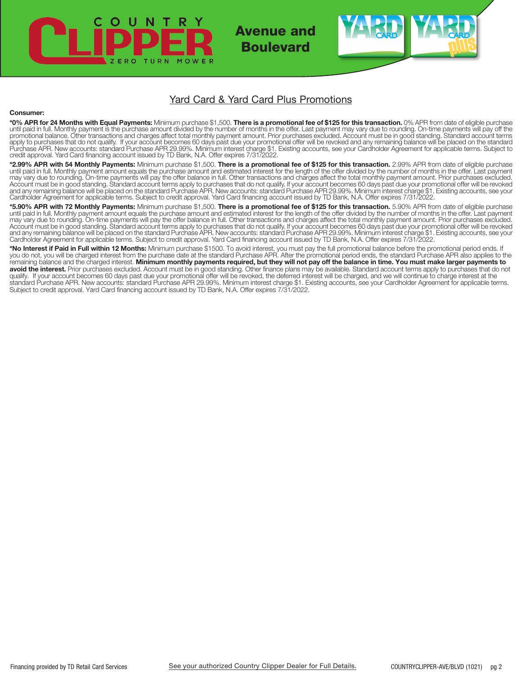## $\circ$ TURN M O

Avenue and Boulevard

## Yard Card & Yard Card Plus Promotions

### Consumer:

**\*0% APR for 24 Months with Equal Payments:** Minimum purchase \$1,500. **There is a promotional fee of \$125 for this transaction.** 0% APR from date of eligible purchase<br>until paid in full. Monthly payment is the purchase amo apply to purchases that do not qualify. If your account becomes 60 days past due your promotional offer will be revoked and any remaining balance will be placed on the standard<br>Purchase APR. New accounts: standard Purchase

**\*2.99% APR with 54 Monthly Payments:** Minimum purchase \$1,500. **There is a promotional fee of \$125 for this transaction.** 2.99% APR from date of eligible purchase<br>until paid in full. Monthly payment amount equals the purc Account must be in good standing. Standard account terms apply to purchases that do not qualify. If your account becomes 60 days past due your promotional offer will be revoked and any remaining balance will be placed on the standard Purchase APR. New accounts: standard Purchase APR 29.99%. Minimum interest charge \$1. Existing accounts, see your<br>Cardholder Agreement for applicable terms. Subject

\*5.90% APR with 72 Monthly Payments: Minimum purchase \$1,500. There is a promotional fee of \$125 for this transaction. 5.90% APR from date of eligible purchase until paid in full. Monthly payment amount equals the purchase amount and estimated interest for the length of the offer divided by the number of months in the offer. Last payment<br>may vary due to rounding. On-time payments Account must be in good standing. Standard account terms apply to purchases that do not qualify. If your account becomes 60 days past due your promotional offer will be revoked and any remaining balance will be placed on the standard Purchase APR. New accounts: standard Purchase APR 29.99%. Minimum interest charge \$1. Existing accounts, see your Cardholder Agreement for applicable terms. Subject to credit approval. Yard Card financing account issued by TD Bank, N.A. Offer expires 7/31/2022.

\*No Interest if Paid in Full within 12 Months: Minimum purchase \$1500. To avoid interest, you must pay the full promotional balance before the promotional period ends. If you do not, you will be charged interest from the purchase date at the standard Purchase APR. After the promotional period ends, the standard Purchase APR also applies to the remaining balance and the charged interest. Minimum monthly payments required, but they will not pay off the balance in time. You must make larger payments to avoid the interest. Prior purchases excluded. Account must be in good standing. Other finance plans may be available. Standard account terms apply to purchases that do not qualify. If your account becomes 60 days past due your promotional offer will be revoked, the deferred interest will be charged, and we will continue to charge interest at the standard Purchase APR. New accounts: standard Purchase APR 29.99%. Minimum interest charge \$1. Existing accounts, see your Cardholder Agreement for applicable terms. Subject to credit approval. Yard Card financing account issued by TD Bank, N.A. Offer expires 7/31/2022.